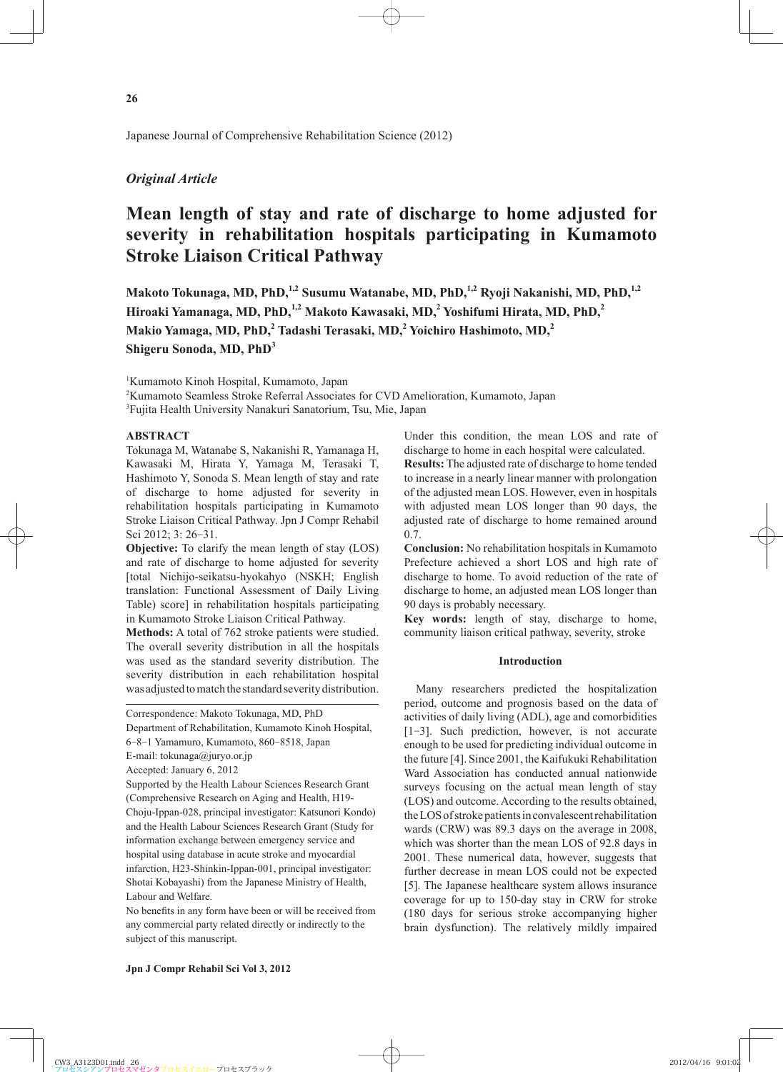Japanese Journal of Comprehensive Rehabilitation Science (2012)

## *Original Article*

# **Mean length of stay and rate of discharge to home adjusted for severity in rehabilitation hospitals participating in Kumamoto Stroke Liaison Critical Pathway**

Makoto Tokunaga, MD, PhD,<sup>1,2</sup> Susumu Watanabe, MD, PhD,<sup>1,2</sup> Ryoji Nakanishi, MD, PhD,<sup>1,2</sup> Hiroaki Yamanaga, MD, PhD,<sup>1,2</sup> Makoto Kawasaki, MD,<sup>2</sup> Yoshifumi Hirata, MD, PhD,<sup>2</sup> **Makio Yamaga, MD, PhD,<sup>2</sup> Tadashi Terasaki, MD,<sup>2</sup> Yoichiro Hashimoto, MD,2 Shigeru Sonoda, MD, PhD<sup>3</sup>**

1 Kumamoto Kinoh Hospital, Kumamoto, Japan

2 Kumamoto Seamless Stroke Referral Associates for CVD Amelioration, Kumamoto, Japan

<sup>3</sup>Fujita Health University Nanakuri Sanatorium, Tsu, Mie, Japan

## **ABSTRACT**

Tokunaga M, Watanabe S, Nakanishi R, Yamanaga H, Kawasaki M, Hirata Y, Yamaga M, Terasaki T, Hashimoto Y, Sonoda S. Mean length of stay and rate of discharge to home adjusted for severity in rehabilitation hospitals participating in Kumamoto Stroke Liaison Critical Pathway. Jpn J Compr Rehabil Sci 2012; 3: 26-31.

**Objective:** To clarify the mean length of stay (LOS) and rate of discharge to home adjusted for severity [total Nichijo-seikatsu-hyokahyo (NSKH; English translation: Functional Assessment of Daily Living Table) score] in rehabilitation hospitals participating in Kumamoto Stroke Liaison Critical Pathway.

**Methods:** A total of 762 stroke patients were studied. The overall severity distribution in all the hospitals was used as the standard severity distribution. The severity distribution in each rehabilitation hospital was adjusted to match the standard severity distribution.

Supported by the Health Labour Sciences Research Grant (Comprehensive Research on Aging and Health, H19- Choju-Ippan-028, principal investigator: Katsunori Kondo) and the Health Labour Sciences Research Grant (Study for information exchange between emergency service and hospital using database in acute stroke and myocardial infarction, H23-Shinkin-Ippan-001, principal investigator: Shotai Kobayashi) from the Japanese Ministry of Health, Labour and Welfare.

No benefits in any form have been or will be received from any commercial party related directly or indirectly to the subject of this manuscript.

Under this condition, the mean LOS and rate of discharge to home in each hospital were calculated. **Results:** The adjusted rate of discharge to home tended to increase in a nearly linear manner with prolongation of the adjusted mean LOS. However, even in hospitals with adjusted mean LOS longer than 90 days, the adjusted rate of discharge to home remained around 0.7.

**Conclusion:** No rehabilitation hospitals in Kumamoto Prefecture achieved a short LOS and high rate of discharge to home. To avoid reduction of the rate of discharge to home, an adjusted mean LOS longer than 90 days is probably necessary.

**Key words:** length of stay, discharge to home, community liaison critical pathway, severity, stroke

## **Introduction**

Many researchers predicted the hospitalization period, outcome and prognosis based on the data of activities of daily living (ADL), age and comorbidities [1-3]. Such prediction, however, is not accurate enough to be used for predicting individual outcome in the future [4]. Since 2001, the Kaifukuki Rehabilitation Ward Association has conducted annual nationwide surveys focusing on the actual mean length of stay (LOS) and outcome. According to the results obtained, the LOS of stroke patients in convalescent rehabilitation wards (CRW) was 89.3 days on the average in 2008, which was shorter than the mean LOS of 92.8 days in 2001. These numerical data, however, suggests that further decrease in mean LOS could not be expected [5]. The Japanese healthcare system allows insurance coverage for up to 150-day stay in CRW for stroke (180 days for serious stroke accompanying higher brain dysfunction). The relatively mildly impaired

Correspondence: Makoto Tokunaga, MD, PhD

Department of Rehabilitation, Kumamoto Kinoh Hospital, 6-8-1 Yamamuro, Kumamoto, 860-8518, Japan

E-mail: tokunaga@juryo.or.jp

Accepted: January 6, 2012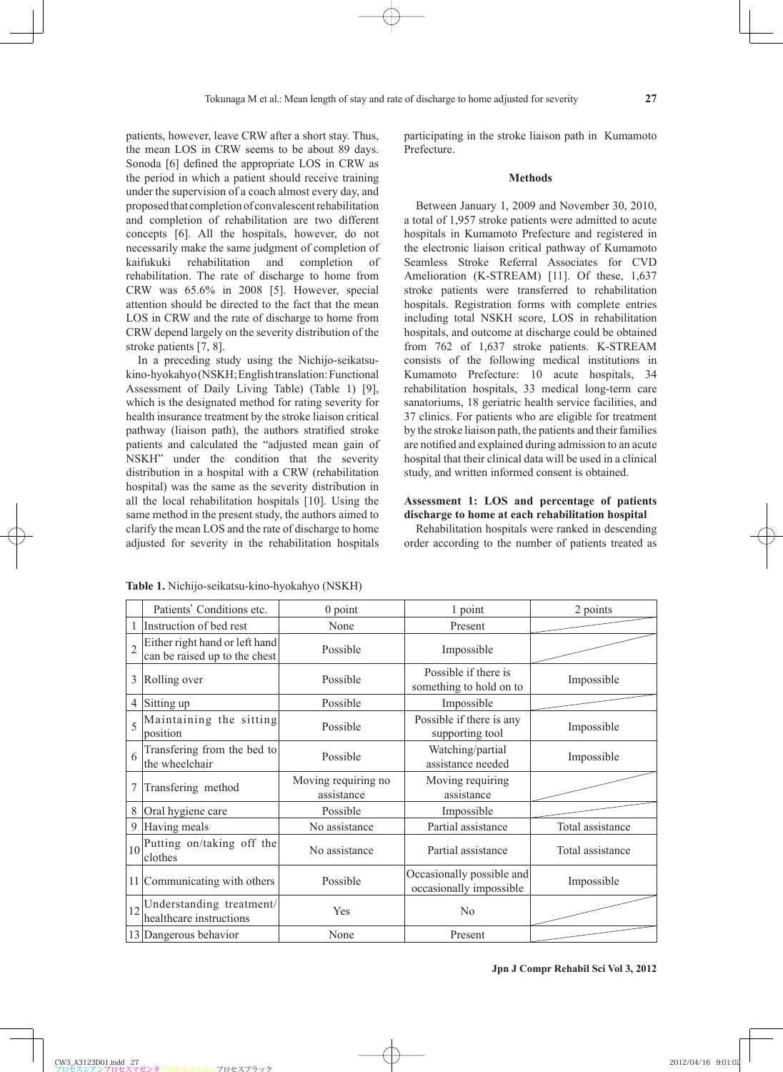patients, however, leave CRW after a short stay. Thus, the mean LOS in CRW seems to be about 89 days. Sonoda [6] defined the appropriate LOS in CRW as the period in which a patient should receive training under the supervision of a coach almost every day, and proposed that completion of convalescent rehabilitation and completion of rehabilitation are two different concepts [6]. All the hospitals, however, do not necessarily make the same judgment of completion of kaifukuki rehabilitation and completion of rehabilitation. The rate of discharge to home from CRW was 65.6% in 2008 [5]. However, special attention should be directed to the fact that the mean LOS in CRW and the rate of discharge to home from CRW depend largely on the severity distribution of the stroke patients [7, 8].

In a preceding study using the Nichijo-seikatsukino-hyokahyo (NSKH; English translation: Functional Assessment of Daily Living Table) (Table 1) [9], which is the designated method for rating severity for health insurance treatment by the stroke liaison critical pathway (liaison path), the authors stratified stroke patients and calculated the "adjusted mean gain of NSKH" under the condition that the severity distribution in a hospital with a CRW (rehabilitation hospital) was the same as the severity distribution in all the local rehabilitation hospitals [10]. Using the same method in the present study, the authors aimed to clarify the mean LOS and the rate of discharge to home adjusted for severity in the rehabilitation hospitals participating in the stroke liaison path in Kumamoto Prefecture.

## **Methods**

Between January 1, 2009 and November 30, 2010, a total of 1,957 stroke patients were admitted to acute hospitals in Kumamoto Prefecture and registered in the electronic liaison critical pathway of Kumamoto Seamless Stroke Referral Associates for CVD Amelioration (K-STREAM) [11]. Of these, 1,637 stroke patients were transferred to rehabilitation hospitals. Registration forms with complete entries including total NSKH score, LOS in rehabilitation hospitals, and outcome at discharge could be obtained from 762 of 1,637 stroke patients. K-STREAM consists of the following medical institutions in Kumamoto Prefecture: 10 acute hospitals, 34 rehabilitation hospitals, 33 medical long-term care sanatoriums, 18 geriatric health service facilities, and 37 clinics. For patients who are eligible for treatment by the stroke liaison path, the patients and their families are notified and explained during admission to an acute hospital that their clinical data will be used in a clinical study, and written informed consent is obtained.

## **Assessment 1: LOS and percentage of patients discharge to home at each rehabilitation hospital**

Rehabilitation hospitals were ranked in descending order according to the number of patients treated as

|                | Patients' Conditions etc.                                       | $0$ point                         | 1 point                                              | 2 points         |  |
|----------------|-----------------------------------------------------------------|-----------------------------------|------------------------------------------------------|------------------|--|
|                | Instruction of bed rest                                         | None                              | Present                                              |                  |  |
| $\overline{2}$ | Either right hand or left hand<br>can be raised up to the chest | Possible                          | Impossible                                           |                  |  |
| 3              | Rolling over                                                    | Possible                          | Possible if there is<br>something to hold on to      |                  |  |
| 4              | Sitting up                                                      | Possible                          | Impossible                                           |                  |  |
| 5              | Maintaining the sitting<br>position                             | Possible                          | Possible if there is any<br>supporting tool          | Impossible       |  |
| 6              | Transfering from the bed to<br>the wheelchair                   | Possible                          | Watching/partial<br>assistance needed                | Impossible       |  |
|                |                                                                 |                                   |                                                      |                  |  |
| 7              | Transfering method                                              | Moving requiring no<br>assistance | Moving requiring<br>assistance                       |                  |  |
| 8              | Oral hygiene care                                               | Possible                          | Impossible                                           |                  |  |
| 9              | Having meals                                                    | No assistance                     | Partial assistance                                   | Total assistance |  |
| 10             | Putting on/taking off the<br>clothes                            | No assistance                     | Partial assistance                                   | Total assistance |  |
|                | 11 Communicating with others                                    | Possible                          | Occasionally possible and<br>occasionally impossible | Impossible       |  |
| 12             | Understanding treatment/<br>healthcare instructions             | Yes                               | N <sub>0</sub>                                       |                  |  |

**Table 1.** Nichijo-seikatsu-kino-hyokahyo (NSKH)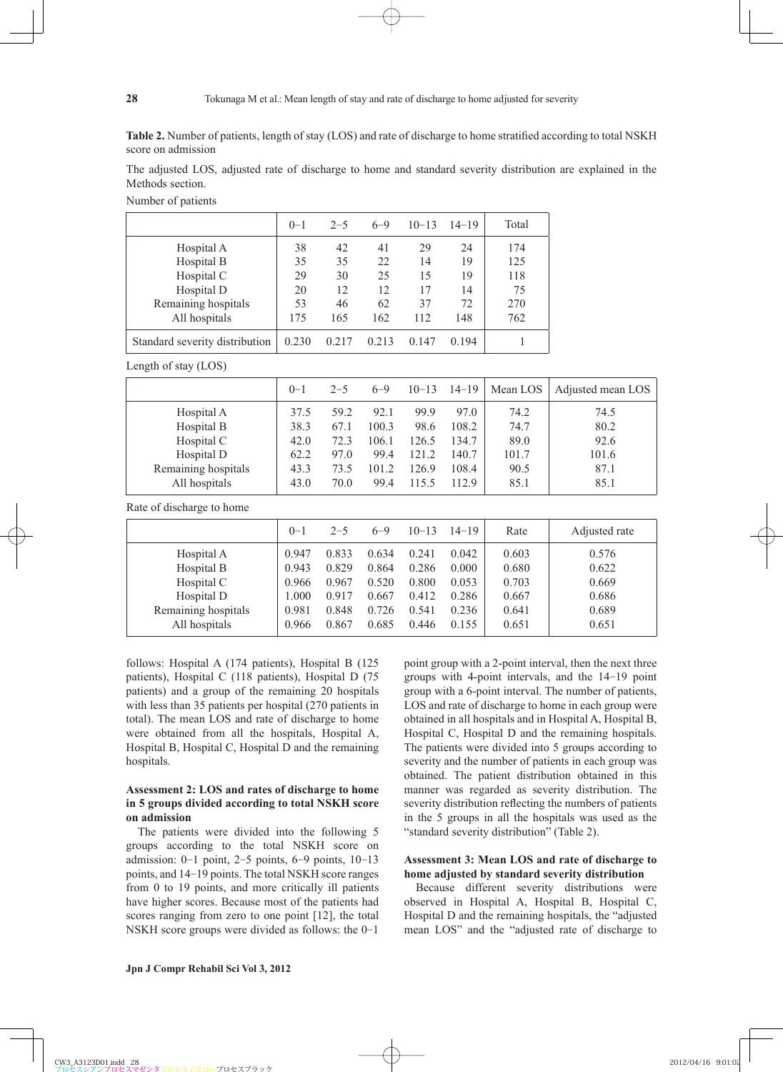**Table 2.** Number of patients, length of stay (LOS) and rate of discharge to home stratified according to total NSKH score on admission

The adjusted LOS, adjusted rate of discharge to home and standard severity distribution are explained in the Methods section.

Number of patients

|                                | $0 - 1$ | $2 - 5$ | $6 - 9$ | $10 - 13$ | $14 - 19$ | Total |
|--------------------------------|---------|---------|---------|-----------|-----------|-------|
| Hospital A                     | 38      | 42      | 41      | 29        | 24        | 174   |
| Hospital B                     | 35      | 35      | 22      | 14        | 19        | 125   |
| Hospital C                     | 29      | 30      | 25      | 15        | 19        | 118   |
| Hospital D                     | 20      | 12      | 12      | 17        | 14        | 75    |
| Remaining hospitals            | 53      | 46      | 62      | 37        | 72        | 270   |
| All hospitals                  | 175     | 165     | 162     | 112       | 148       | 762   |
| Standard severity distribution | 0.230   | 0.217   | 0.213   | 0.147     | 0 1 9 4   |       |

Length of stay (LOS)

|                     | $0 - 1$ | $2 - 5$ | $6 - 9$ | $10 - 13$ | $14 - 19$ | Mean LOS | Adjusted mean LOS |
|---------------------|---------|---------|---------|-----------|-----------|----------|-------------------|
| Hospital A          | 37.5    | 59 2    | 92.1    | 99.9      | 97.0      | 74.2     | 74.5              |
| Hospital B          | 38.3    | 67.1    | 100.3   | 98.6      | 108.2     | 74.7     | 80.2              |
| Hospital C          | 42.0    | 72.3    | 106.1   | 126.5     | 134.7     | 89.0     | 92.6              |
| Hospital D          | 62.2    | 97.0    | 99.4    | 121.2     | 140.7     | 101.7    | 101.6             |
| Remaining hospitals | 43.3    | 73.5    | 101.2   | 126.9     | 108.4     | 90.5     | 87.1              |
| All hospitals       | 43.0    | 70.0    | 99.4    | 115.5     | 112.9     | 85.1     | 85.1              |

Rate of discharge to home

|                     | $0 - 1$ | $2 - 5$ | $6 - 9$ | $10 - 13$ | $14 - 19$ | Rate  | Adjusted rate |
|---------------------|---------|---------|---------|-----------|-----------|-------|---------------|
| Hospital A          | 0.947   | 0.833   | 0.634   | 0.241     | 0.042     | 0.603 | 0.576         |
| Hospital B          | 0.943   | 0.829   | 0.864   | 0.286     | 0.000     | 0.680 | 0.622         |
| Hospital C          | 0.966   | 0.967   | 0.520   | 0.800     | 0.053     | 0.703 | 0.669         |
| Hospital D          | 1.000   | 0.917   | 0.667   | 0.412     | 0.286     | 0.667 | 0.686         |
| Remaining hospitals | 0.981   | 0.848   | 0.726   | 0.541     | 0.236     | 0.641 | 0.689         |
| All hospitals       | 0.966   | 0.867   | 0.685   | 0.446     | 0.155     | 0.651 | 0.651         |
|                     |         |         |         |           |           |       |               |

follows: Hospital A (174 patients), Hospital B (125 patients), Hospital C (118 patients), Hospital D (75 patients) and a group of the remaining 20 hospitals with less than 35 patients per hospital (270 patients in total). The mean LOS and rate of discharge to home were obtained from all the hospitals, Hospital A, Hospital B, Hospital C, Hospital D and the remaining hospitals.

## **Assessment 2: LOS and rates of discharge to home in 5 groups divided according to total NSKH score on admission**

The patients were divided into the following 5 groups according to the total NSKH score on admission:  $0-1$  point,  $2-5$  points,  $6-9$  points,  $10-13$ points, and 14-19 points. The total NSKH score ranges from 0 to 19 points, and more critically ill patients have higher scores. Because most of the patients had scores ranging from zero to one point [12], the total NSKH score groups were divided as follows: the 0-1

point group with a 2-point interval, then the next three groups with 4-point intervals, and the 14-19 point group with a 6-point interval. The number of patients, LOS and rate of discharge to home in each group were obtained in all hospitals and in Hospital A, Hospital B, Hospital C, Hospital D and the remaining hospitals. The patients were divided into 5 groups according to severity and the number of patients in each group was obtained. The patient distribution obtained in this manner was regarded as severity distribution. The severity distribution reflecting the numbers of patients in the 5 groups in all the hospitals was used as the "standard severity distribution" (Table 2).

## **Assessment 3: Mean LOS and rate of discharge to home adjusted by standard severity distribution**

Because different severity distributions were observed in Hospital A, Hospital B, Hospital C, Hospital D and the remaining hospitals, the "adjusted mean LOS" and the "adjusted rate of discharge to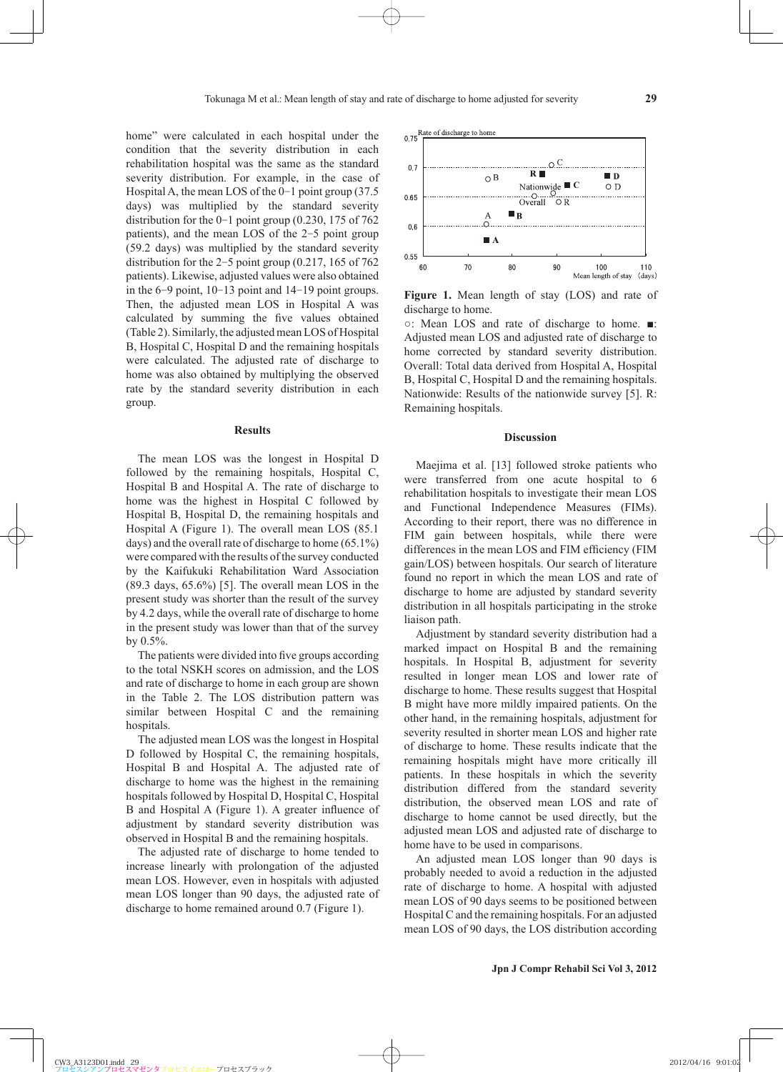home" were calculated in each hospital under the  $0.75$ condition that the severity distribution in each rehabilitation hospital was the same as the standard  $0.7$  $065$  $0.6$ 

severity distribution. For example, in the case of Hospital A, the mean LOS of the 0-1 point group (37.5) days) was multiplied by the standard severity distribution for the  $0-1$  point group (0.230, 175 of 762) patients), and the mean LOS of the 2-5 point group (59.2 days) was multiplied by the standard severity distribution for the 2-5 point group (0.217, 165 of 762 patients). Likewise, adjusted values were also obtained in the 6-9 point, 10-13 point and 14-19 point groups. Then, the adjusted mean LOS in Hospital A was calculated by summing the five values obtained (Table 2). Similarly, the adjusted mean LOS of Hospital B, Hospital C, Hospital D and the remaining hospitals were calculated. The adjusted rate of discharge to home was also obtained by multiplying the observed rate by the standard severity distribution in each group.

## **Results**

The mean LOS was the longest in Hospital D followed by the remaining hospitals, Hospital C, Hospital B and Hospital A. The rate of discharge to home was the highest in Hospital C followed by Hospital B, Hospital D, the remaining hospitals and Hospital A (Figure 1). The overall mean LOS (85.1 days) and the overall rate of discharge to home (65.1%) were compared with the results of the survey conducted by the Kaifukuki Rehabilitation Ward Association (89.3 days, 65.6%) [5]. The overall mean LOS in the present study was shorter than the result of the survey by 4.2 days, while the overall rate of discharge to home in the present study was lower than that of the survey by  $0.5\%$ .

The patients were divided into five groups according to the total NSKH scores on admission, and the LOS and rate of discharge to home in each group are shown in the Table 2. The LOS distribution pattern was similar between Hospital C and the remaining hospitals.

The adjusted mean LOS was the longest in Hospital D followed by Hospital C, the remaining hospitals, Hospital B and Hospital A. The adjusted rate of discharge to home was the highest in the remaining hospitals followed by Hospital D, Hospital C, Hospital B and Hospital A (Figure 1). A greater influence of adjustment by standard severity distribution was observed in Hospital B and the remaining hospitals.

The adjusted rate of discharge to home tended to increase linearly with prolongation of the adjusted mean LOS. However, even in hospitals with adjusted mean LOS longer than 90 days, the adjusted rate of discharge to home remained around 0.7 (Figure 1).



**Figure 1.** Mean length of stay (LOS) and rate of discharge to home.

○: Mean LOS and rate of discharge to home. ■: Adjusted mean LOS and adjusted rate of discharge to home corrected by standard severity distribution. Overall: Total data derived from Hospital A, Hospital B, Hospital C, Hospital D and the remaining hospitals. Nationwide: Results of the nationwide survey [5]. R: Remaining hospitals.

## **Discussion**

Maejima et al. [13] followed stroke patients who were transferred from one acute hospital to 6 rehabilitation hospitals to investigate their mean LOS and Functional Independence Measures (FIMs). According to their report, there was no difference in FIM gain between hospitals, while there were differences in the mean LOS and FIM efficiency (FIM gain/LOS) between hospitals. Our search of literature found no report in which the mean LOS and rate of discharge to home are adjusted by standard severity distribution in all hospitals participating in the stroke liaison path.

Adjustment by standard severity distribution had a marked impact on Hospital B and the remaining hospitals. In Hospital B, adjustment for severity resulted in longer mean LOS and lower rate of discharge to home. These results suggest that Hospital B might have more mildly impaired patients. On the other hand, in the remaining hospitals, adjustment for severity resulted in shorter mean LOS and higher rate of discharge to home. These results indicate that the remaining hospitals might have more critically ill patients. In these hospitals in which the severity distribution differed from the standard severity distribution, the observed mean LOS and rate of discharge to home cannot be used directly, but the adjusted mean LOS and adjusted rate of discharge to home have to be used in comparisons.

An adjusted mean LOS longer than 90 days is probably needed to avoid a reduction in the adjusted rate of discharge to home. A hospital with adjusted mean LOS of 90 days seems to be positioned between Hospital C and the remaining hospitals. For an adjusted mean LOS of 90 days, the LOS distribution according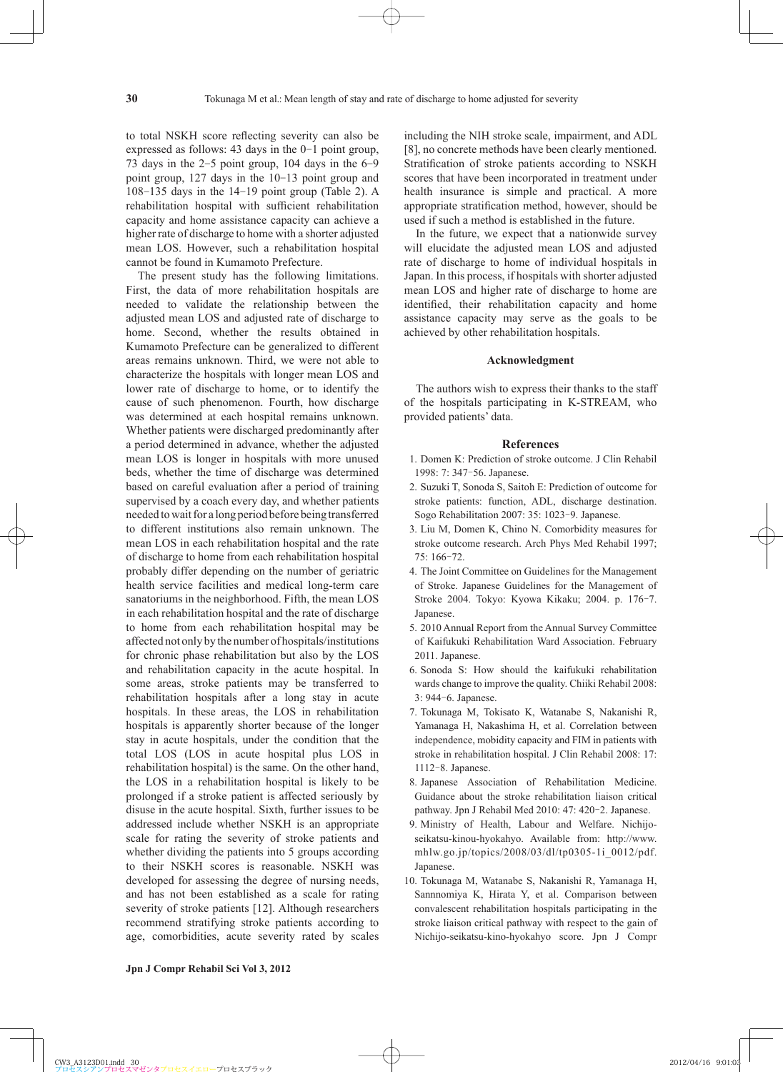to total NSKH score reflecting severity can also be expressed as follows: 43 days in the 0-1 point group, 73 days in the 2-5 point group, 104 days in the 6-9 point group, 127 days in the 10-13 point group and 108-135 days in the 14-19 point group (Table 2). A rehabilitation hospital with sufficient rehabilitation capacity and home assistance capacity can achieve a higher rate of discharge to home with a shorter adjusted mean LOS. However, such a rehabilitation hospital cannot be found in Kumamoto Prefecture.

The present study has the following limitations. First, the data of more rehabilitation hospitals are needed to validate the relationship between the adjusted mean LOS and adjusted rate of discharge to home. Second, whether the results obtained in Kumamoto Prefecture can be generalized to different areas remains unknown. Third, we were not able to characterize the hospitals with longer mean LOS and lower rate of discharge to home, or to identify the cause of such phenomenon. Fourth, how discharge was determined at each hospital remains unknown. Whether patients were discharged predominantly after a period determined in advance, whether the adjusted mean LOS is longer in hospitals with more unused beds, whether the time of discharge was determined based on careful evaluation after a period of training supervised by a coach every day, and whether patients needed to wait for a long period before being transferred to different institutions also remain unknown. The mean LOS in each rehabilitation hospital and the rate of discharge to home from each rehabilitation hospital probably differ depending on the number of geriatric health service facilities and medical long-term care sanatoriums in the neighborhood. Fifth, the mean LOS in each rehabilitation hospital and the rate of discharge to home from each rehabilitation hospital may be affected not only by the number of hospitals/institutions for chronic phase rehabilitation but also by the LOS and rehabilitation capacity in the acute hospital. In some areas, stroke patients may be transferred to rehabilitation hospitals after a long stay in acute hospitals. In these areas, the LOS in rehabilitation hospitals is apparently shorter because of the longer stay in acute hospitals, under the condition that the total LOS (LOS in acute hospital plus LOS in rehabilitation hospital) is the same. On the other hand, the LOS in a rehabilitation hospital is likely to be prolonged if a stroke patient is affected seriously by disuse in the acute hospital. Sixth, further issues to be addressed include whether NSKH is an appropriate scale for rating the severity of stroke patients and whether dividing the patients into 5 groups according to their NSKH scores is reasonable. NSKH was developed for assessing the degree of nursing needs, and has not been established as a scale for rating severity of stroke patients [12]. Although researchers recommend stratifying stroke patients according to age, comorbidities, acute severity rated by scales including the NIH stroke scale, impairment, and ADL [8], no concrete methods have been clearly mentioned. Stratification of stroke patients according to NSKH scores that have been incorporated in treatment under health insurance is simple and practical. A more appropriate stratification method, however, should be used if such a method is established in the future.

In the future, we expect that a nationwide survey will elucidate the adjusted mean LOS and adjusted rate of discharge to home of individual hospitals in Japan. In this process, if hospitals with shorter adjusted mean LOS and higher rate of discharge to home are identified, their rehabilitation capacity and home assistance capacity may serve as the goals to be achieved by other rehabilitation hospitals.

#### **Acknowledgment**

The authors wish to express their thanks to the staff of the hospitals participating in K-STREAM, who provided patients' data.

#### **References**

- 1 . Domen K: Prediction of stroke outcome. J Clin Rehabil 1998: 7: 347–56. Japanese.
- 2 . Suzuki T, Sonoda S, Saitoh E: Prediction of outcome for stroke patients: function, ADL, discharge destination. Sogo Rehabilitation 2007: 35: 1023-9. Japanese.
- 3 . Liu M, Domen K, Chino N. Comorbidity measures for stroke outcome research. Arch Phys Med Rehabil 1997; 75: 166‒72.
- 4 . The Joint Committee on Guidelines for the Management of Stroke. Japanese Guidelines for the Management of Stroke 2004. Tokyo: Kyowa Kikaku; 2004. p. 176-7. Japanese.
- 5 . 2010 Annual Report from the Annual Survey Committee of Kaifukuki Rehabilitation Ward Association. February 2011. Japanese.
- 6 . Sonoda S: How should the kaifukuki rehabilitation wards change to improve the quality. Chiiki Rehabil 2008: 3: 944‒6. Japanese.
- 7 . Tokunaga M, Tokisato K, Watanabe S, Nakanishi R, Yamanaga H, Nakashima H, et al. Correlation between independence, mobidity capacity and FIM in patients with stroke in rehabilitation hospital. J Clin Rehabil 2008: 17: 1112‒8. Japanese.
- 8 . Japanese Association of Rehabilitation Medicine. Guidance about the stroke rehabilitation liaison critical pathway. Jpn J Rehabil Med 2010: 47: 420-2. Japanese.
- 9 . Ministry of Health, Labour and Welfare. Nichijoseikatsu-kinou-hyokahyo. Available from: http://www. mhlw.go.jp/topics/2008/03/dl/tp0305-1i\_0012/pdf. Japanese.
- 10 . Tokunaga M, Watanabe S, Nakanishi R, Yamanaga H, Sannnomiya K, Hirata Y, et al. Comparison between convalescent rehabilitation hospitals participating in the stroke liaison critical pathway with respect to the gain of Nichijo-seikatsu-kino-hyokahyo score. Jpn J Compr